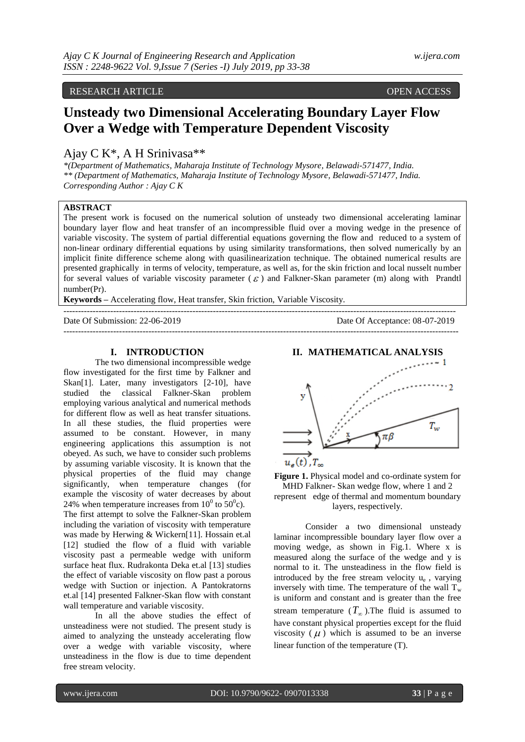## RESEARCH ARTICLE OPEN ACCESS

# **Unsteady two Dimensional Accelerating Boundary Layer Flow Over a Wedge with Temperature Dependent Viscosity**

# Ajay C K\*, A H Srinivasa\*\*

*\*(Department of Mathematics, Maharaja Institute of Technology Mysore, Belawadi-571477, India. \*\* (Department of Mathematics, Maharaja Institute of Technology Mysore, Belawadi-571477, India. Corresponding Author : Ajay C K*

## **ABSTRACT**

The present work is focused on the numerical solution of unsteady two dimensional accelerating laminar boundary layer flow and heat transfer of an incompressible fluid over a moving wedge in the presence of variable viscosity. The system of partial differential equations governing the flow and reduced to a system of non-linear ordinary differential equations by using similarity transformations, then solved numerically by an implicit finite difference scheme along with quasilinearization technique. The obtained numerical results are presented graphically in terms of velocity, temperature, as well as, for the skin friction and local nusselt number for several values of variable viscosity parameter  $(\varepsilon)$  and Falkner-Skan parameter (m) along with Prandtl number(Pr).

**Keywords –** Accelerating flow, Heat transfer, Skin friction, Variable Viscosity.

--------------------------------------------------------------------------------------------------------------------------------------

Date Of Submission: 22-06-2019 Date Of Acceptance: 08-07-2019  $-1-\frac{1}{2}$ 

#### **I. INTRODUCTION**

The two dimensional incompressible wedge flow investigated for the first time by Falkner and Skan<sup>[1]</sup>. Later, many investigators [2-10], have studied the classical Falkner-Skan problem employing various analytical and numerical methods for different flow as well as heat transfer situations. In all these studies, the fluid properties were assumed to be constant. However, in many engineering applications this assumption is not obeyed. As such, we have to consider such problems by assuming variable viscosity. It is known that the physical properties of the fluid may change significantly, when temperature changes (for example the viscosity of water decreases by about 24% when temperature increases from  $10^0$  to  $50^0$ c).

The first attempt to solve the Falkner-Skan problem including the variation of viscosity with temperature was made by Herwing & Wickern[11]. Hossain et.al [12] studied the flow of a fluid with variable viscosity past a permeable wedge with uniform surface heat flux. Rudrakonta Deka et.al [13] studies the effect of variable viscosity on flow past a porous wedge with Suction or injection. A Pantokratorns et.al [14] presented Falkner-Skan flow with constant wall temperature and variable viscosity.

In all the above studies the effect of unsteadiness were not studied. The present study is aimed to analyzing the unsteady accelerating flow over a wedge with variable viscosity, where unsteadiness in the flow is due to time dependent free stream velocity.



**Figure 1.** Physical model and co-ordinate system for MHD Falkner- Skan wedge flow, where 1 and 2 represent edge of thermal and momentum boundary layers, respectively.

Consider a two dimensional unsteady laminar incompressible boundary layer flow over a moving wedge, as shown in Fig.1. Where x is measured along the surface of the wedge and y is normal to it. The unsteadiness in the flow field is introduced by the free stream velocity u<sup>e</sup> , varying inversely with time. The temperature of the wall  $T_w$ is uniform and constant and is greater than the free stream temperature  $(T_{\infty})$ . The fluid is assumed to have constant physical properties except for the fluid viscosity  $(\mu)$  which is assumed to be an inverse linear function of the temperature (T).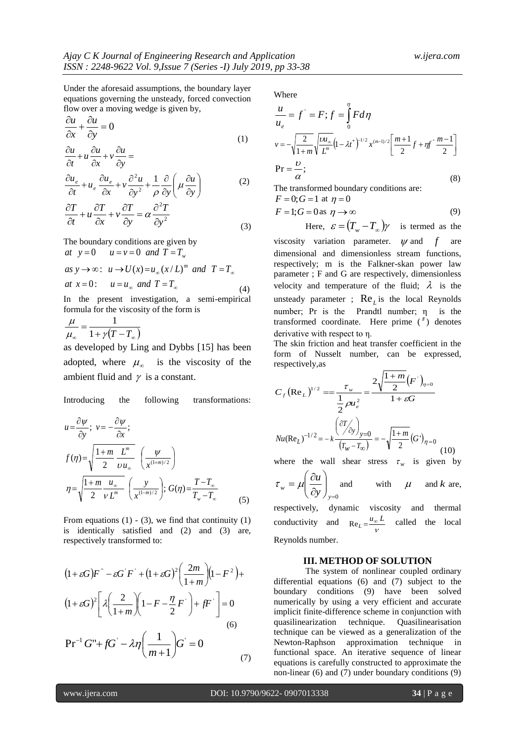Under the aforesaid assumptions, the boundary layer equations governing the unsteady, forced convection flow over a moving wedge is given by,

$$
\frac{\partial u}{\partial x} + \frac{\partial u}{\partial y} = 0
$$
\n(1)

$$
\frac{\partial u}{\partial t} + u \frac{\partial u}{\partial x} + v \frac{\partial u}{\partial y} =
$$

$$
\frac{\partial u_e}{\partial t} + u_e \frac{\partial u_e}{\partial x} + v \frac{\partial^2 u}{\partial y^2} + \frac{1}{\rho} \frac{\partial}{\partial y} \left( \mu \frac{\partial u}{\partial y} \right)
$$
(2)

$$
\frac{\partial T}{\partial t} + u \frac{\partial T}{\partial x} + v \frac{\partial T}{\partial y} = \alpha \frac{\partial^2 T}{\partial y^2}
$$
\n(3)

The boundary conditions are given by  
\nat 
$$
y=0
$$
  $u=v=0$  and  $T=T_w$   
\nas  $y \rightarrow \infty$ :  $u \rightarrow U(x)=u_{\infty}(x/L)^m$  and  $T=T_{\infty}$   
\nat  $x=0$ :  $u=u_{\infty}$  and  $T=T_{\infty}$  (4)  
\nIn the present investigation, a semi-empirical

formula for the viscosity of the form is

$$
\frac{\mu}{\mu_{\infty}} = \frac{1}{1 + \gamma (T - T_{\infty})}
$$

as developed by Ling and Dybbs [15] has been adopted, where  $\mu_{\infty}$  is the viscosity of the ambient fluid and  $\gamma$  is a constant.

Introducing the following transformations:

$$
u = \frac{\partial \psi}{\partial y}; \quad v = -\frac{\partial \psi}{\partial x};
$$
  
\n
$$
f(\eta) = \sqrt{\frac{1+m}{2} \frac{L^m}{v u_{\infty}}} \left(\frac{\psi}{x^{(1+m)/2}}\right)
$$
  
\n
$$
\eta = \sqrt{\frac{1+m}{2} \frac{u_{\infty}}{v L^m}} \left(\frac{y}{x^{(1+m)/2}}\right); \quad G(\eta) = \frac{T-T_{\infty}}{T_w - T_{\infty}}
$$
 (5)

From equations  $(1)$  -  $(3)$ , we find that continuity  $(1)$ is identically satisfied and (2) and (3) are, respectively transformed to:

$$
(1 + \varepsilon G)F^{\dagger} - \varepsilon G'F^{\dagger} + (1 + \varepsilon G)^2 \left(\frac{2m}{1+m}\right)(1 - F^2) +
$$

$$
(1 + \varepsilon G)^2 \left[\lambda \left(\frac{2}{1+m}\right)\left(1 - F - \frac{\eta}{2}F^{\dagger}\right) + fF^{\dagger}\right] = 0
$$

$$
\text{Pr}^{-1} G^{\dagger} + fG^{\dagger} - \lambda \eta \left(\frac{1}{m+1}\right)G^{\dagger} = 0
$$

Where

$$
\frac{u}{u_e} = f' = F; f = \int_0^{\eta} F d\eta
$$
\n
$$
v = -\sqrt{\frac{2}{1+m}} \sqrt{\frac{vu_{\infty}}{L^m}} (1 - \lambda t^*)^{-1/2} x^{(m-1)/2} \left[ \frac{m+1}{2} f + \eta f \right]^m \frac{m-1}{2} \right]
$$
\n
$$
\text{Pr} = \frac{U}{\alpha};
$$
\n(8)

The transformed boundary conditions are:

$$
F = 0; G = 1 \text{ at } \eta = 0
$$
  

$$
F = 1; G = 0 \text{ as } \eta \to \infty
$$
 (9)

Here,  $\varepsilon = (T_w - T_\infty)\gamma$  is termed as the are

viscosity variation parameter.  $\psi$  and  $f$ dimensional and dimensionless stream functions, respectively; m is the Falkner-skan power law parameter ; F and G are respectively, dimensionless velocity and temperature of the fluid;  $\lambda$  is the unsteady parameter ;  $\text{Re}_L$  is the local Reynolds number; Pr is the Prandtl number; η is the transformed coordinate. Here prime (') denotes derivative with respect to η.

The skin friction and heat transfer coefficient in the form of Nusselt number, can be expressed, respectively,as

$$
C_f (\text{Re}_L)^{1/2} = \frac{\tau_w}{\frac{1}{2} \rho u_e^2} = \frac{2 \sqrt{\frac{1+m}{2} (F^{\cdot})_{\eta=0}}}{1 + \varepsilon G}
$$

$$
Nu(\text{Re}_L)^{-1/2} = -k \frac{\left(\frac{\partial T}{\partial y}\right)_{y=0}}{\left(T_w - T_{\infty}\right)} = -\sqrt{\frac{1+m}{2} (G^{\cdot})_{\eta=0}} \tag{10}
$$

where the wall shear stress  $\tau_w$  is given by

$$
\tau_w = \mu \left( \frac{\partial u}{\partial y} \right)_{y=0} \text{ and } \qquad \text{with } \quad \mu \quad \text{ and } k \text{ are,}
$$

respectively, dynamic viscosity and thermal conductivity V  $\text{Re}_L = \frac{u_{\infty} L}{u}$  called the local Reynolds number.

#### **III. METHOD OF SOLUTION**

The system of nonlinear coupled ordinary differential equations (6) and (7) subject to the boundary conditions (9) have been solved numerically by using a very efficient and accurate implicit finite-difference scheme in conjunction with quasilinearization technique. Quasilinearisation technique can be viewed as a generalization of the Newton-Raphson approximation technique in functional space. An iterative sequence of linear equations is carefully constructed to approximate the non-linear (6) and (7) under boundary conditions (9)

(7)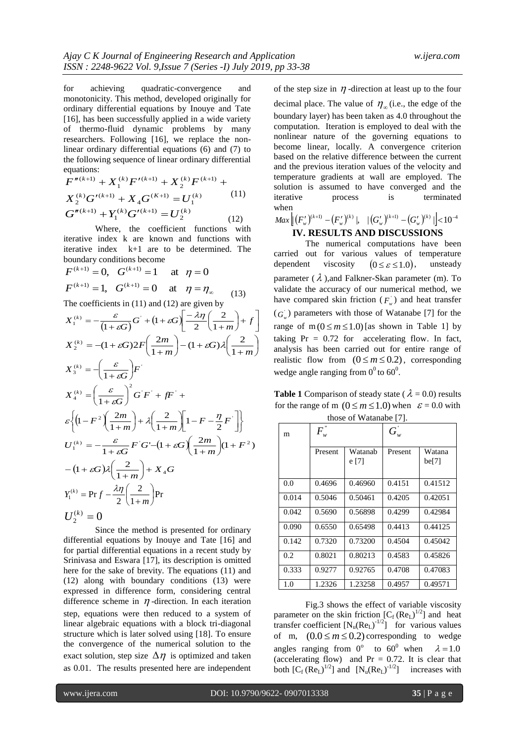for achieving quadratic-convergence and monotonicity. This method, developed originally for ordinary differential equations by Inouye and Tate [16], has been successfully applied in a wide variety of thermo-fluid dynamic problems by many researchers. Following [16], we replace the nonlinear ordinary differential equations (6) and (7) to the following sequence of linear ordinary differential equations:

$$
F''^{(k+1)} + X_1^{(k)} F'^{(k+1)} + X_2^{(k)} F^{(k+1)} +
$$
  
\n
$$
X_2^{(k)} G'^{(k+1)} + X_4 G^{(K+1)} = U_1^{(k)} \t(11)
$$
  
\n
$$
G''^{(k+1)} + Y_1^{(k)} G'^{(k+1)} = U_2^{(k)} \t(12)
$$

Where, the coefficient functions with iterative index k are known and functions with iterative index k+1 are to be determined. The boundary conditions become

$$
F^{(k+1)} = 0, \quad G^{(k+1)} = 1 \quad \text{at} \quad \eta = 0
$$
  

$$
F^{(k+1)} = 1, \quad G^{(k+1)} = 0 \quad \text{at} \quad \eta = \eta_{\infty}
$$
 (13)

The coefficients in (11) and (12) are given by

$$
X_1^{(k)} = -\frac{\varepsilon}{(1+\varepsilon G)}G^{\dagger} + (1+\varepsilon G)\left[\frac{-\lambda\eta}{2}\left(\frac{2}{1+m}\right) + f\right]
$$
  
\n
$$
X_2^{(k)} = -(1+\varepsilon G)2F\left(\frac{2m}{1+m}\right) - (1+\varepsilon G)\lambda\left(\frac{2}{1+m}\right)
$$
  
\n
$$
X_3^{(k)} = -\left(\frac{\varepsilon}{1+\varepsilon G}\right)F^{\dagger}
$$
  
\n
$$
X_4^{(k)} = \left(\frac{\varepsilon}{1+\varepsilon G}\right)^2G'F^{\dagger} + fF^{\dagger} + \varepsilon \left\{\left(1-F^2\left(\frac{2m}{1+m}\right) + \lambda\left(\frac{2}{1+m}\right)\left[1-F-\frac{\eta}{2}F^{\dagger}\right]\right\}
$$
  
\n
$$
U_1^{(k)} = -\frac{\varepsilon}{1+\varepsilon G}F'G' - (1+\varepsilon G)\left(\frac{2m}{1+m}\right)(1+F^2)
$$
  
\n
$$
-(1+\varepsilon G)\lambda\left(\frac{2}{1+m}\right) + X_4G
$$
  
\n
$$
Y_1^{(k)} = \Pr f - \frac{\lambda\eta}{2}\left(\frac{2}{1+m}\right)\Pr
$$
  
\n
$$
U_2^{(k)} = 0
$$

Since the method is presented for ordinary differential equations by Inouye and Tate [16] and for partial differential equations in a recent study by Srinivasa and Eswara [17], its description is omitted here for the sake of brevity. The equations (11) and (12) along with boundary conditions (13) were expressed in difference form, considering central difference scheme in  $\eta$ -direction. In each iteration step, equations were then reduced to a system of linear algebraic equations with a block tri-diagonal structure which is later solved using [18]. To ensure the convergence of the numerical solution to the exact solution, step size  $\Delta \eta$  is optimized and taken as 0.01. The results presented here are independent

of the step size in  $\eta$ -direction at least up to the four decimal place. The value of  $\eta_{\infty}$  (i.e., the edge of the boundary layer) has been taken as 4.0 throughout the computation. Iteration is employed to deal with the nonlinear nature of the governing equations to become linear, locally. A convergence criterion based on the relative difference between the current and the previous iteration values of the velocity and temperature gradients at wall are employed. The solution is assumed to have converged and the iterative process is terminated when

$$
\frac{Max \left[ \left( F_{w}^{\prime} \right)^{(k+1)} - \left( F_{w}^{\prime} \right)^{(k)} \right], \quad \left| \left( G_{w}^{\prime} \right)^{(k+1)} - \left( G_{w}^{\prime} \right)^{(k)} \right| \right| < 10^{-4}}{\text{IV.} \text{RESULTS AND DISCUSSIONS}}
$$

The numerical computations have been carried out for various values of temperature dependent viscosity  $(0 \leq \varepsilon \leq 1.0),$ , unsteady parameter  $(\lambda)$ , and Falkner-Skan parameter (m). To validate the accuracy of our numerical method, we have compared skin friction  $(F_w)$  and heat transfer  $(G_w)$  parameters with those of Watanabe [7] for the range of  $m (0 \le m \le 1.0)$  [as shown in Table 1] by taking  $Pr = 0.72$  for accelerating flow. In fact, analysis has been carried out for entire range of realistic flow from  $(0 \le m \le 0.2)$ , corresponding wedge angle ranging from  $0^0$  to 60<sup>0</sup>.

**Table 1** Comparison of steady state ( $\lambda = 0.0$ ) results for the range of m  $(0 \le m \le 1.0)$  when  $\varepsilon = 0.0$  with those of Watanabe [7].

| m     | $F^{''}$<br>w |                  | $G_{\scriptscriptstyle w}$ |                 |
|-------|---------------|------------------|----------------------------|-----------------|
|       | Present       | Watanab<br>e [7] | Present                    | Watana<br>be[7] |
| 0.0   | 0.4696        | 0.46960          | 0.4151                     | 0.41512         |
| 0.014 | 0.5046        | 0.50461          | 0.4205                     | 0.42051         |
| 0.042 | 0.5690        | 0.56898          | 0.4299                     | 0.42984         |
| 0.090 | 0.6550        | 0.65498          | 0.4413                     | 0.44125         |
| 0.142 | 0.7320        | 0.73200          | 0.4504                     | 0.45042         |
| 0.2   | 0.8021        | 0.80213          | 0.4583                     | 0.45826         |
| 0.333 | 0.9277        | 0.92765          | 0.4708                     | 0.47083         |
| 1.0   | 1.2326        | 1.23258          | 0.4957                     | 0.49571         |

Fig.3 shows the effect of variable viscosity parameter on the skin friction  $[C_f (Re_L)^{1/2}]$  and heat transfer coefficient  $[N_u(Re_L)^{-1/2}]$  for various values of m,  $(0.0 \le m \le 0.2)$  corresponding to wedge angles ranging from 0° to 60° when  $\lambda = 1.0$ (accelerating flow) and  $Pr = 0.72$ . It is clear that both  $[C_f (Re_L)^{1/2}]$  and  $[N_u (Re_L)^{-1/2}]$  increases with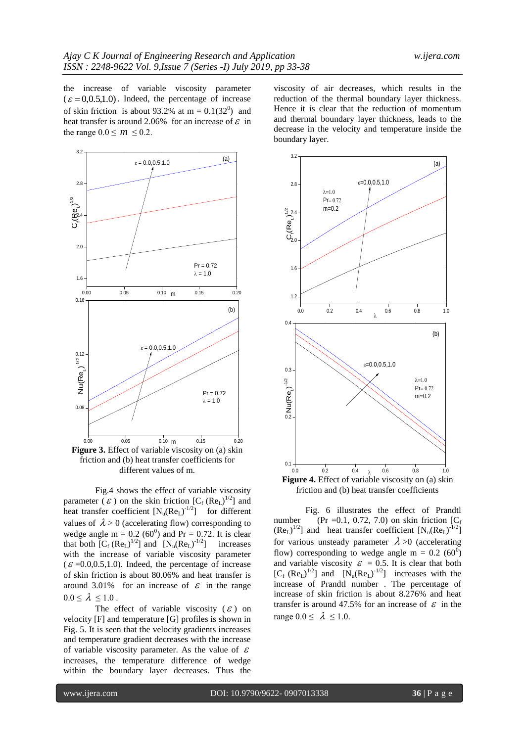the increase of variable viscosity parameter  $(\varepsilon = 0.0.5, 1.0)$ . Indeed, the percentage of increase of skin friction is about 93.2% at  $m = 0.1(32^0)$  and heat transfer is around 2.06% for an increase of  $\epsilon$  in the range  $0.0 \le m \le 0.2$ .



different values of m.

Fig.4 shows the effect of variable viscosity parameter ( $\mathcal{E}$ ) on the skin friction  $[C_f (Re_L)^{1/2}]$  and heat transfer coefficient  $[N_u(Re_L)^{-1/2}]$  for different values of  $\lambda > 0$  (accelerating flow) corresponding to wedge angle m =  $0.2$  (60<sup>0</sup>) and Pr = 0.72. It is clear that both  $[C_f (Re_L)^{1/2}]$  and  $[N_u (Re_L)^{-1/2}]$  increases with the increase of variable viscosity parameter  $(\mathcal{E} = 0.0, 0.5, 1.0)$ . Indeed, the percentage of increase of skin friction is about 80.06% and heat transfer is around 3.01% for an increase of  $\epsilon$  in the range  $0.0 \leq \lambda \leq 1.0$ .

The effect of variable viscosity  $(\varepsilon)$  on velocity [F] and temperature [G] profiles is shown in Fig. 5. It is seen that the velocity gradients increases and temperature gradient decreases with the increase of variable viscosity parameter. As the value of  $\varepsilon$ increases, the temperature difference of wedge within the boundary layer decreases. Thus the

viscosity of air decreases, which results in the reduction of the thermal boundary layer thickness. Hence it is clear that the reduction of momentum and thermal boundary layer thickness, leads to the decrease in the velocity and temperature inside the boundary layer.



Fig. 6 illustrates the effect of Prandtl number (Pr = 0.1, 0.72, 7.0) on skin friction  $[C_f]$  $(Re_L)^{1/2}$ ] and heat transfer coefficient  $[N_u(Re_L)^{-1/2}]$ for various unsteady parameter  $\lambda > 0$  (accelerating flow) corresponding to wedge angle  $m = 0.2$  (60<sup>0</sup>) and variable viscosity  $\mathcal{E} = 0.5$ . It is clear that both  $[C_f (Re_L)^{1/2}]$  and  $[N_u(Re_L)^{-1/2}]$  increases with the increase of Prandtl number . The percentage of increase of skin friction is about 8.276% and heat transfer is around 47.5% for an increase of  $\epsilon$  in the range  $0.0 \leq \lambda \leq 1.0$ .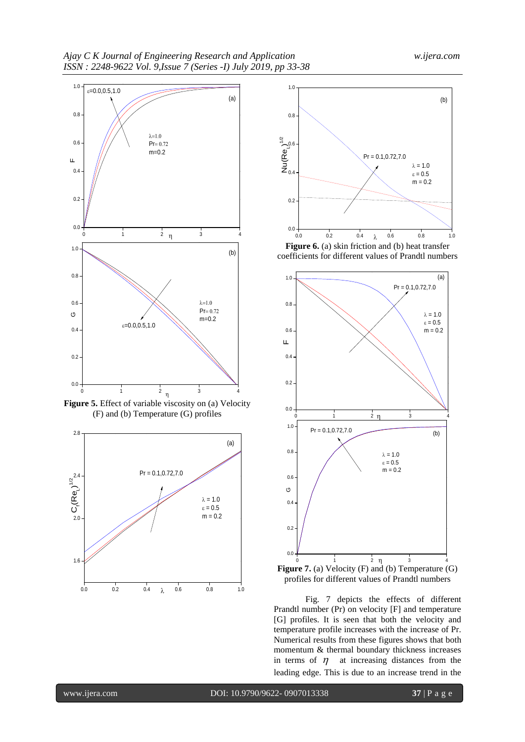

Figure 5. Effect of variable viscosity on (a) Velocity (F) and (b) Temperature (G) profiles





coefficients for different values of Prandtl numbers





Fig. 7 depicts the effects of different Prandtl number (Pr) on velocity [F] and temperature [G] profiles. It is seen that both the velocity and temperature profile increases with the increase of Pr. Numerical results from these figures shows that both momentum & thermal boundary thickness increases in terms of  $\eta$  at increasing distances from the leading edge. This is due to an increase trend in the